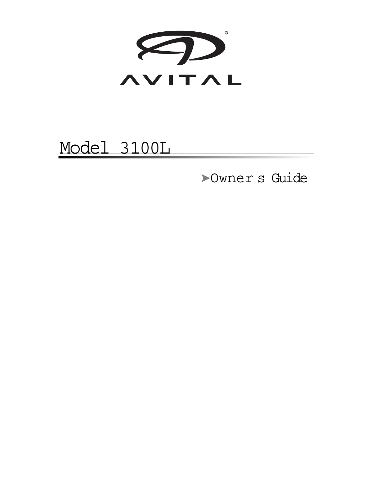

### Model 3100L

➤Owner s Guide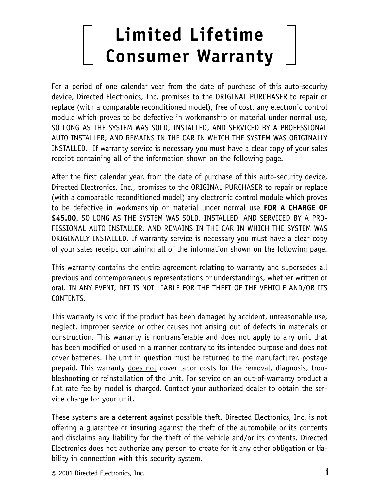### **Limited Lifetime Consumer Warranty**

For a period of one calendar year from the date of purchase of this auto-security device, Directed Electronics, Inc. promises to the ORIGINAL PURCHASER to repair or replace (with a comparable reconditioned model), free of cost, any electronic control module which proves to be defective in workmanship or material under normal use, SO LONG AS THE SYSTEM WAS SOLD, INSTALLED, AND SERVICED BY A PROFESSIONAL AUTO INSTALLER, AND REMAINS IN THE CAR IN WHICH THE SYSTEM WAS ORIGINALLY INSTALLED. If warranty service is necessary you must have a clear copy of your sales receipt containing all of the information shown on the following page.

After the first calendar year, from the date of purchase of this auto-security device, Directed Electronics, Inc., promises to the ORIGINAL PURCHASER to repair or replace (with a comparable reconditioned model) any electronic control module which proves to be defective in workmanship or material under normal use **FOR A CHARGE OF \$45.00,** SO LONG AS THE SYSTEM WAS SOLD, INSTALLED, AND SERVICED BY A PRO-FESSIONAL AUTO INSTALLER, AND REMAINS IN THE CAR IN WHICH THE SYSTEM WAS ORIGINALLY INSTALLED. If warranty service is necessary you must have a clear copy of your sales receipt containing all of the information shown on the following page.

This warranty contains the entire agreement relating to warranty and supersedes all previous and contemporaneous representations or understandings, whether written or oral. IN ANY EVENT, DEI IS NOT LIABLE FOR THE THEFT OF THE VEHICLE AND/OR ITS CONTENTS.

This warranty is void if the product has been damaged by accident, unreasonable use, neglect, improper service or other causes not arising out of defects in materials or construction. This warranty is nontransferable and does not apply to any unit that has been modified or used in a manner contrary to its intended purpose and does not cover batteries. The unit in question must be returned to the manufacturer, postage prepaid. This warranty does not cover labor costs for the removal, diagnosis, troubleshooting or reinstallation of the unit. For service on an out-of-warranty product a flat rate fee by model is charged. Contact your authorized dealer to obtain the service charge for your unit.

These systems are a deterrent against possible theft. Directed Electronics, Inc. is not offering a guarantee or insuring against the theft of the automobile or its contents and disclaims any liability for the theft of the vehicle and/or its contents. Directed Electronics does not authorize any person to create for it any other obligation or liability in connection with this security system.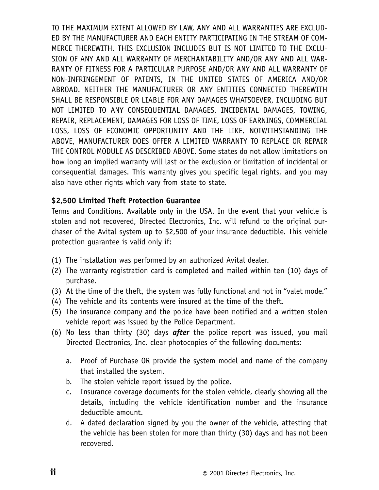TO THE MAXIMUM EXTENT ALLOWED BY LAW, ANY AND ALL WARRANTIES ARE EXCLUD-ED BY THE MANUFACTURER AND EACH ENTITY PARTICIPATING IN THE STREAM OF COM-MERCE THEREWITH. THIS EXCLUSION INCLUDES BUT IS NOT LIMITED TO THE EXCLU-SION OF ANY AND ALL WARRANTY OF MERCHANTABILITY AND/OR ANY AND ALL WAR-RANTY OF FITNESS FOR A PARTICULAR PURPOSE AND/OR ANY AND ALL WARRANTY OF NON-INFRINGEMENT OF PATENTS, IN THE UNITED STATES OF AMERICA AND/OR ABROAD. NEITHER THE MANUFACTURER OR ANY ENTITIES CONNECTED THEREWITH SHALL BE RESPONSIBLE OR LIABLE FOR ANY DAMAGES WHATSOEVER, INCLUDING BUT NOT LIMITED TO ANY CONSEQUENTIAL DAMAGES, INCIDENTAL DAMAGES, TOWING, REPAIR, REPLACEMENT, DAMAGES FOR LOSS OF TIME, LOSS OF EARNINGS, COMMERCIAL LOSS, LOSS OF ECONOMIC OPPORTUNITY AND THE LIKE. NOTWITHSTANDING THE ABOVE, MANUFACTURER DOES OFFER A LIMITED WARRANTY TO REPLACE OR REPAIR THE CONTROL MODULE AS DESCRIBED ABOVE. Some states do not allow limitations on how long an implied warranty will last or the exclusion or limitation of incidental or consequential damages. This warranty gives you specific legal rights, and you may also have other rights which vary from state to state.

#### **\$2,500 Limited Theft Protection Guarantee**

Terms and Conditions. Available only in the USA. In the event that your vehicle is stolen and not recovered, Directed Electronics, Inc. will refund to the original purchaser of the Avital system up to \$2,500 of your insurance deductible. This vehicle protection guarantee is valid only if:

- (1) The installation was performed by an authorized Avital dealer.
- (2) The warranty registration card is completed and mailed within ten (10) days of purchase.
- (3) At the time of the theft, the system was fully functional and not in "valet mode."
- (4) The vehicle and its contents were insured at the time of the theft.
- (5) The insurance company and the police have been notified and a written stolen vehicle report was issued by the Police Department.
- (6) No less than thirty (30) days *after* the police report was issued, you mail Directed Electronics, Inc. clear photocopies of the following documents:
	- a. Proof of Purchase OR provide the system model and name of the company that installed the system.
	- b. The stolen vehicle report issued by the police.
	- c. Insurance coverage documents for the stolen vehicle, clearly showing all the details, including the vehicle identification number and the insurance deductible amount.
	- d. A dated declaration signed by you the owner of the vehicle, attesting that the vehicle has been stolen for more than thirty (30) days and has not been recovered.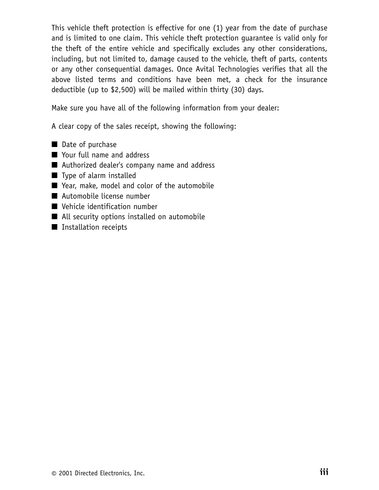This vehicle theft protection is effective for one (1) year from the date of purchase and is limited to one claim. This vehicle theft protection guarantee is valid only for the theft of the entire vehicle and specifically excludes any other considerations, including, but not limited to, damage caused to the vehicle, theft of parts, contents or any other consequential damages. Once Avital Technologies verifies that all the above listed terms and conditions have been met, a check for the insurance deductible (up to \$2,500) will be mailed within thirty (30) days.

Make sure you have all of the following information from your dealer:

A clear copy of the sales receipt, showing the following:

- Date of purchase
- Your full name and address
- Authorized dealer's company name and address
- Type of alarm installed
- Year, make, model and color of the automobile
- Automobile license number
- Vehicle identification number
- All security options installed on automobile
- Installation receipts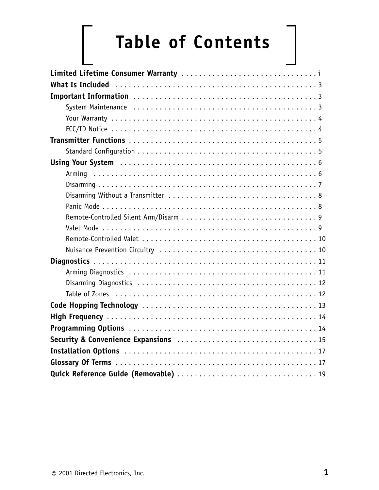# **Table of Contents**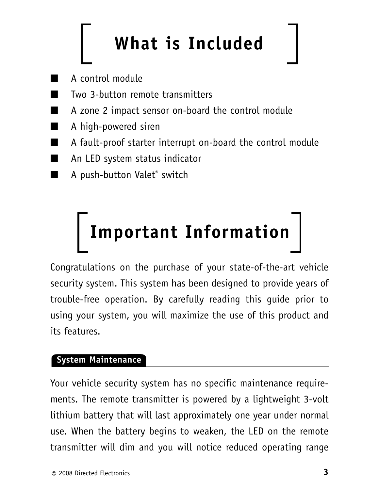## **What is Included**

- A control module
- Two 3-button remote transmitters
- A zone 2 impact sensor on-board the control module
- A high-powered siren
- A fault-proof starter interrupt on-board the control module
- An LED system status indicator
- A push-button Valet<sup>®</sup> switch

# **Important Information**

Congratulations on the purchase of your state-of-the-art vehicle security system. This system has been designed to provide years of trouble-free operation. By carefully reading this guide prior to using your system, you will maximize the use of this product and its features.

#### **System Maintenance**

Your vehicle security system has no specific maintenance requirements. The remote transmitter is powered by a lightweight 3-volt lithium battery that will last approximately one year under normal use. When the battery begins to weaken, the LED on the remote transmitter will dim and you will notice reduced operating range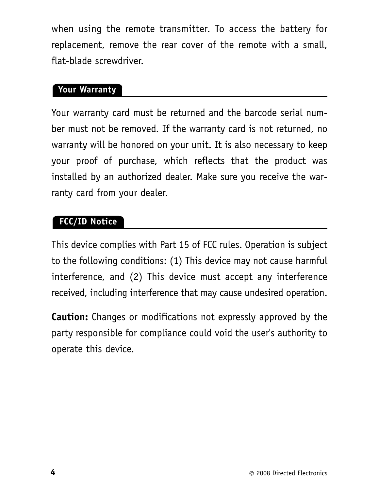when using the remote transmitter. To access the battery for replacement, remove the rear cover of the remote with a small, flat-blade screwdriver.

#### **Your Warranty**

Your warranty card must be returned and the barcode serial number must not be removed. If the warranty card is not returned, no warranty will be honored on your unit. It is also necessary to keep your proof of purchase, which reflects that the product was installed by an authorized dealer. Make sure you receive the warranty card from your dealer.

#### **FCC/ID Notice**

This device complies with Part 15 of FCC rules. Operation is subject to the following conditions: (1) This device may not cause harmful interference, and (2) This device must accept any interference received, including interference that may cause undesired operation.

**Caution:** Changes or modifications not expressly approved by the party responsible for compliance could void the user's authority to operate this device.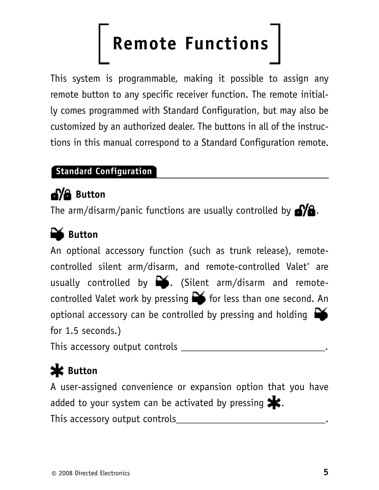## **Remote Functions**

This system is programmable, making it possible to assign any remote button to any specific receiver function. The remote initially comes programmed with Standard Configuration, but may also be customized by an authorized dealer. The buttons in all of the instructions in this manual correspond to a Standard Configuration remote.

#### **Standard Configuration**

### **Button**

The arm/disarm/panic functions are usually controlled by  $\mathbf{C}$ .

### **Button**

An optional accessory function (such as trunk release), remotecontrolled silent arm/disarm, and remote-controlled Valet® are usually controlled by  $\mathbb{R}$ . (Silent arm/disarm and remotecontrolled Valet work by pressing  $\blacksquare$  for less than one second. An optional accessory can be controlled by pressing and holding  $\Box$ for 1.5 seconds.)

This accessory output controls \_\_\_\_\_\_\_\_\_\_\_\_\_\_\_\_\_\_\_\_\_\_\_\_\_\_\_\_.

### **K** Button

A user-assigned convenience or expansion option that you have added to your system can be activated by pressing  $\blacktriangleright$ . This accessory output controls\_\_\_\_\_\_\_\_\_\_\_\_\_\_\_\_\_\_\_\_\_\_\_\_\_\_\_\_\_.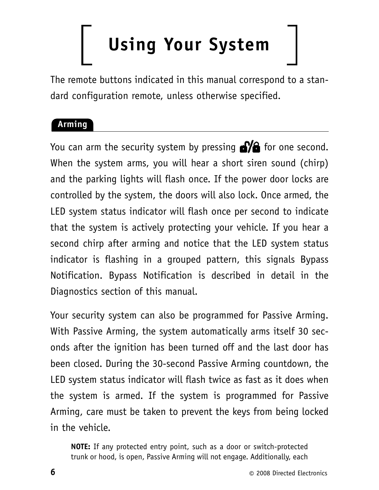## **Using Your System**

The remote buttons indicated in this manual correspond to a standard configuration remote, unless otherwise specified.

#### **Arming**

You can arm the security system by pressing  $\sqrt{2}$  for one second. When the system arms, you will hear a short siren sound (chirp) and the parking lights will flash once. If the power door locks are controlled by the system, the doors will also lock. Once armed, the LED system status indicator will flash once per second to indicate that the system is actively protecting your vehicle. If you hear a second chirp after arming and notice that the LED system status indicator is flashing in a grouped pattern, this signals Bypass Notification. Bypass Notification is described in detail in the Diagnostics section of this manual.

Your security system can also be programmed for Passive Arming. With Passive Arming, the system automatically arms itself 30 seconds after the ignition has been turned off and the last door has been closed. During the 30-second Passive Arming countdown, the LED system status indicator will flash twice as fast as it does when the system is armed. If the system is programmed for Passive Arming, care must be taken to prevent the keys from being locked in the vehicle.

**NOTE:** If any protected entry point, such as a door or switch-protected trunk or hood, is open, Passive Arming will not engage. Additionally, each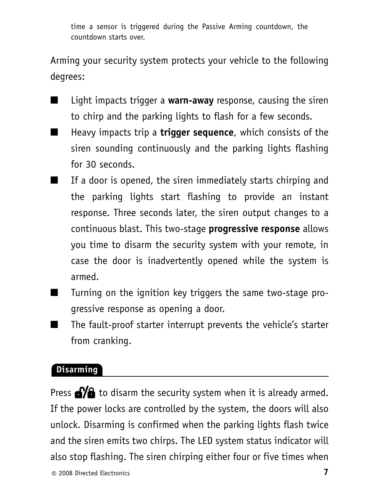time a sensor is triggered during the Passive Arming countdown, the countdown starts over.

Arming your security system protects your vehicle to the following degrees:

- Light impacts trigger a **warn-away** response, causing the siren to chirp and the parking lights to flash for a few seconds.
- Heavy impacts trip a **trigger sequence**, which consists of the siren sounding continuously and the parking lights flashing for 30 seconds.
- If a door is opened, the siren immediately starts chirping and the parking lights start flashing to provide an instant response. Three seconds later, the siren output changes to a continuous blast. This two-stage **progressive response** allows you time to disarm the security system with your remote, in case the door is inadvertently opened while the system is armed.
- Turning on the ignition key triggers the same two-stage progressive response as opening a door.
- The fault-proof starter interrupt prevents the vehicle's starter from cranking.

#### **Disarming**

Press  $\bigotimes$  to disarm the security system when it is already armed. If the power locks are controlled by the system, the doors will also unlock. Disarming is confirmed when the parking lights flash twice and the siren emits two chirps. The LED system status indicator will also stop flashing. The siren chirping either four or five times when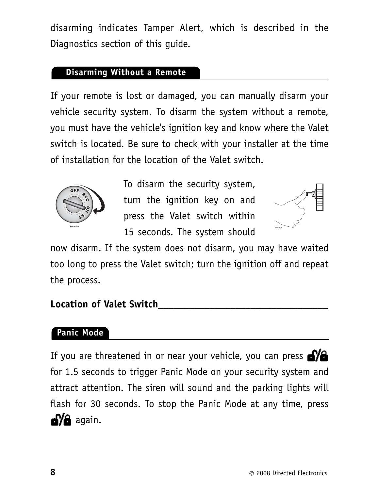disarming indicates Tamper Alert, which is described in the Diagnostics section of this guide.

#### **Disarming Without a Remote**

If your remote is lost or damaged, you can manually disarm your vehicle security system. To disarm the system without a remote, you must have the vehicle's ignition key and know where the Valet switch is located. Be sure to check with your installer at the time of installation for the location of the Valet switch.



To disarm the security system, turn the ignition key on and press the Valet switch within 15 seconds. The system should



now disarm. If the system does not disarm, you may have waited too long to press the Valet switch; turn the ignition off and repeat the process.

#### **Location of Valet Switch\_\_\_\_\_\_\_\_\_\_\_\_\_\_\_\_\_\_\_\_\_\_\_\_\_\_\_\_\_\_\_\_\_**

#### **Panic Mode**

If you are threatened in or near your vehicle, you can press  $\triangle$ for 1.5 seconds to trigger Panic Mode on your security system and attract attention. The siren will sound and the parking lights will flash for 30 seconds. To stop the Panic Mode at any time, press **aya** again.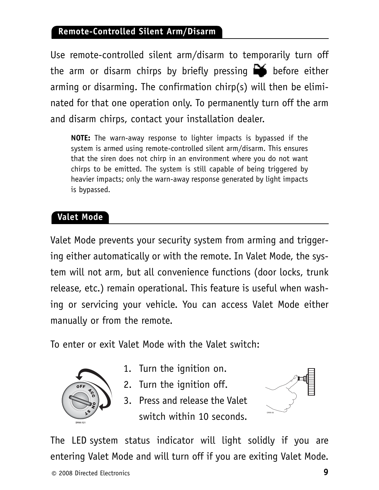#### **Remote-Controlled Silent Arm/Disarm**

Use remote-controlled silent arm/disarm to temporarily turn off the arm or disarm chirps by briefly pressing  $\Box$  before either arming or disarming. The confirmation chirp(s) will then be eliminated for that one operation only. To permanently turn off the arm and disarm chirps, contact your installation dealer.

**NOTE:** The warn-away response to lighter impacts is bypassed if the system is armed using remote-controlled silent arm/disarm. This ensures that the siren does not chirp in an environment where you do not want chirps to be emitted. The system is still capable of being triggered by heavier impacts; only the warn-away response generated by light impacts is bypassed.

#### **Valet Mode**

Valet Mode prevents your security system from arming and triggering either automatically or with the remote. In Valet Mode, the system will not arm, but all convenience functions (door locks, trunk release, etc.) remain operational. This feature is useful when washing or servicing your vehicle. You can access Valet Mode either manually or from the remote.

To enter or exit Valet Mode with the Valet switch:



- 1. Turn the ignition on.
- 2. Turn the ignition off.
- 3. Press and release the Valet switch within 10 seconds.



The LED system status indicator will light solidly if you are entering Valet Mode and will turn off if you are exiting Valet Mode.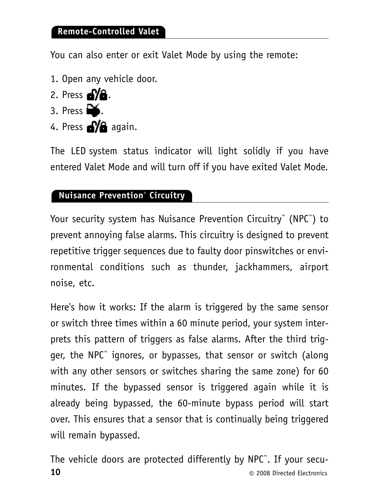#### **Remote-Controlled Valet**

You can also enter or exit Valet Mode by using the remote:

- 1. Open any vehicle door.
- 2. Press  $\mathbf{d}/\mathbf{d}$ .
- 3. Press  $\blacksquare$ .
- 4. Press **S/G** again.

The LED system status indicator will light solidly if you have entered Valet Mode and will turn off if you have exited Valet Mode.

#### **Nuisance Prevention® Circuitry**

Your security system has Nuisance Prevention Circuitry™ (NPC™ ) to prevent annoying false alarms. This circuitry is designed to prevent repetitive trigger sequences due to faulty door pinswitches or environmental conditions such as thunder, jackhammers, airport noise, etc.

Here's how it works: If the alarm is triggered by the same sensor or switch three times within a 60 minute period, your system interprets this pattern of triggers as false alarms. After the third trigger, the NPC™ ignores, or bypasses, that sensor or switch (along with any other sensors or switches sharing the same zone) for 60 minutes. If the bypassed sensor is triggered again while it is already being bypassed, the 60-minute bypass period will start over. This ensures that a sensor that is continually being triggered will remain bypassed.

**10 10 a**  $\bullet$  **10 b 2008** Directed Electronics The vehicle doors are protected differently by NPC™. If your secu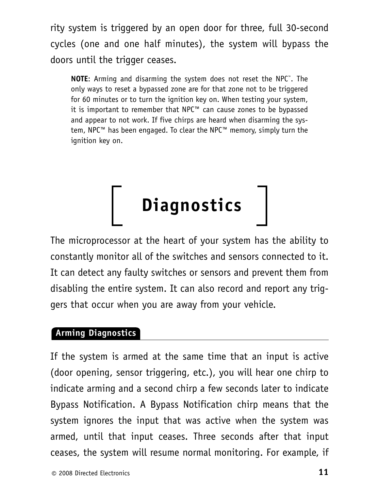rity system is triggered by an open door for three, full 30-second cycles (one and one half minutes), the system will bypass the doors until the trigger ceases.

**NOTE**: Arming and disarming the system does not reset the NPC™ . The only ways to reset a bypassed zone are for that zone not to be triggered for 60 minutes or to turn the ignition key on. When testing your system, it is important to remember that NPC™ can cause zones to be bypassed and appear to not work. If five chirps are heard when disarming the system, NPC™ has been engaged. To clear the NPC™ memory, simply turn the ignition key on.



The microprocessor at the heart of your system has the ability to constantly monitor all of the switches and sensors connected to it. It can detect any faulty switches or sensors and prevent them from disabling the entire system. It can also record and report any triggers that occur when you are away from your vehicle.

#### **Arming Diagnostics**

If the system is armed at the same time that an input is active (door opening, sensor triggering, etc.), you will hear one chirp to indicate arming and a second chirp a few seconds later to indicate Bypass Notification. A Bypass Notification chirp means that the system ignores the input that was active when the system was armed, until that input ceases. Three seconds after that input ceases, the system will resume normal monitoring. For example, if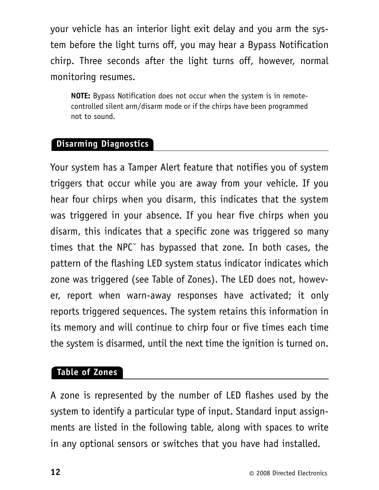your vehicle has an interior light exit delay and you arm the system before the light turns off, you may hear a Bypass Notification chirp. Three seconds after the light turns off, however, normal monitoring resumes.

**NOTE:** Bypass Notification does not occur when the system is in remotecontrolled silent arm/disarm mode or if the chirps have been programmed not to sound.

#### **Disarming Diagnostics**

Your system has a Tamper Alert feature that notifies you of system triggers that occur while you are away from your vehicle. If you hear four chirps when you disarm, this indicates that the system was triggered in your absence. If you hear five chirps when you disarm, this indicates that a specific zone was triggered so many times that the NPC™ has bypassed that zone. In both cases, the pattern of the flashing LED system status indicator indicates which zone was triggered (see Table of Zones). The LED does not, however, report when warn-away responses have activated; it only reports triggered sequences. The system retains this information in its memory and will continue to chirp four or five times each time the system is disarmed, until the next time the ignition is turned on.

#### **Table of Zones**

A zone is represented by the number of LED flashes used by the system to identify a particular type of input. Standard input assignments are listed in the following table, along with spaces to write in any optional sensors or switches that you have had installed.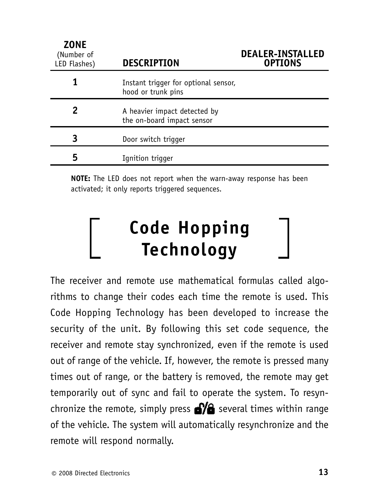| <b>ZONE</b><br>(Number of<br>LED Flashes) | <b>DESCRIPTION</b>                                         | <b>DEALER-INSTALLED</b><br><b>OPTIONS</b> |
|-------------------------------------------|------------------------------------------------------------|-------------------------------------------|
|                                           | Instant trigger for optional sensor,<br>hood or trunk pins |                                           |
| 2                                         | A heavier impact detected by<br>the on-board impact sensor |                                           |
| 3                                         | Door switch trigger                                        |                                           |
| 5                                         | Ignition trigger                                           |                                           |

**NOTE:** The LED does not report when the warn-away response has been activated; it only reports triggered sequences.

### **Code Hopping Technology**

The receiver and remote use mathematical formulas called algorithms to change their codes each time the remote is used. This Code Hopping Technology has been developed to increase the security of the unit. By following this set code sequence, the receiver and remote stay synchronized, even if the remote is used out of range of the vehicle. If, however, the remote is pressed many times out of range, or the battery is removed, the remote may get temporarily out of sync and fail to operate the system. To resynchronize the remote, simply press  $\mathbf{s}$  several times within range of the vehicle. The system will automatically resynchronize and the remote will respond normally.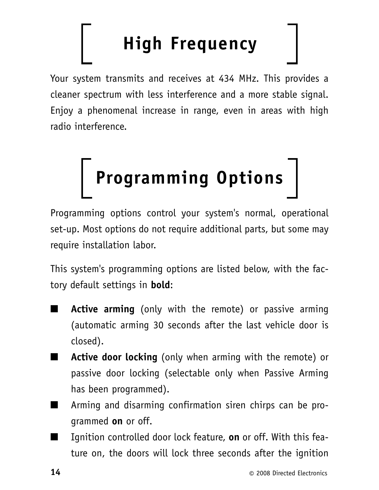## **High Frequency**

Your system transmits and receives at 434 MHz. This provides a cleaner spectrum with less interference and a more stable signal. Enjoy a phenomenal increase in range, even in areas with high radio interference.



Programming options control your system's normal, operational set-up. Most options do not require additional parts, but some may require installation labor.

This system's programming options are listed below, with the factory default settings in **bold**:

- **Active arming** (only with the remote) or passive arming (automatic arming 30 seconds after the last vehicle door is closed).
- **Active door locking** (only when arming with the remote) or passive door locking (selectable only when Passive Arming has been programmed).
- Arming and disarming confirmation siren chirps can be programmed **on** or off.
- Ignition controlled door lock feature, **on** or off. With this feature on, the doors will lock three seconds after the ignition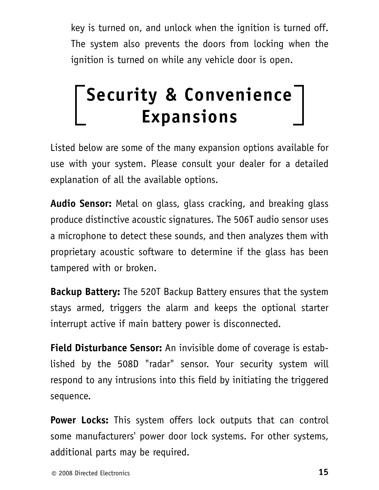key is turned on, and unlock when the ignition is turned off. The system also prevents the doors from locking when the ignition is turned on while any vehicle door is open.

### **Security & Convenience Expansions**

Listed below are some of the many expansion options available for use with your system. Please consult your dealer for a detailed explanation of all the available options.

**Audio Sensor:** Metal on glass, glass cracking, and breaking glass produce distinctive acoustic signatures. The 506T audio sensor uses a microphone to detect these sounds, and then analyzes them with proprietary acoustic software to determine if the glass has been tampered with or broken.

**Backup Battery:** The 520T Backup Battery ensures that the system stays armed, triggers the alarm and keeps the optional starter interrupt active if main battery power is disconnected.

**Field Disturbance Sensor:** An invisible dome of coverage is established by the 508D "radar" sensor. Your security system will respond to any intrusions into this field by initiating the triggered sequence.

**Power Locks:** This system offers lock outputs that can control some manufacturers' power door lock systems. For other systems, additional parts may be required.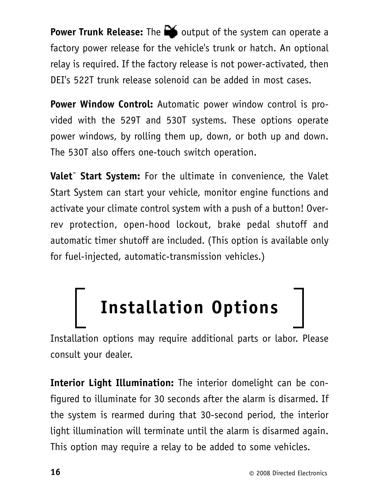**Power Trunk Release:** The **the delay** output of the system can operate a factory power release for the vehicle's trunk or hatch. An optional relay is required. If the factory release is not power-activated, then DEI's 522T trunk release solenoid can be added in most cases.

**Power Window Control:** Automatic power window control is provided with the 529T and 530T systems. These options operate power windows, by rolling them up, down, or both up and down. The 530T also offers one-touch switch operation.

**Valet™ Start System:** For the ultimate in convenience, the Valet Start System can start your vehicle, monitor engine functions and activate your climate control system with a push of a button! Overrev protection, open-hood lockout, brake pedal shutoff and automatic timer shutoff are included. (This option is available only for fuel-injected, automatic-transmission vehicles.)

## **Installation Options**

Installation options may require additional parts or labor. Please consult your dealer.

**Interior Light Illumination:** The interior domelight can be configured to illuminate for 30 seconds after the alarm is disarmed. If the system is rearmed during that 30-second period, the interior light illumination will terminate until the alarm is disarmed again. This option may require a relay to be added to some vehicles.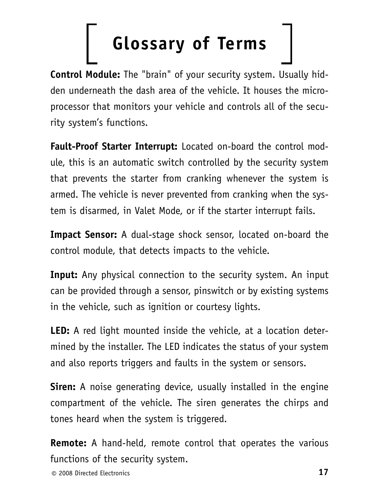## **Glossary of Terms**

**Control Module:** The "brain" of your security system. Usually hidden underneath the dash area of the vehicle. It houses the microprocessor that monitors your vehicle and controls all of the security system's functions.

**Fault-Proof Starter Interrupt:** Located on-board the control module, this is an automatic switch controlled by the security system that prevents the starter from cranking whenever the system is armed. The vehicle is never prevented from cranking when the system is disarmed, in Valet Mode, or if the starter interrupt fails.

**Impact Sensor:** A dual-stage shock sensor, located on-board the control module, that detects impacts to the vehicle.

**Input:** Any physical connection to the security system. An input can be provided through a sensor, pinswitch or by existing systems in the vehicle, such as ignition or courtesy lights.

**LED:** A red light mounted inside the vehicle, at a location determined by the installer. The LED indicates the status of your system and also reports triggers and faults in the system or sensors.

**Siren:** A noise generating device, usually installed in the engine compartment of the vehicle. The siren generates the chirps and tones heard when the system is triggered.

**Remote:** A hand-held, remote control that operates the various functions of the security system.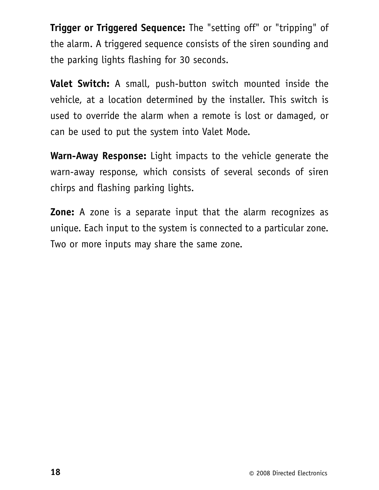**Trigger or Triggered Sequence:** The "setting off" or "tripping" of the alarm. A triggered sequence consists of the siren sounding and the parking lights flashing for 30 seconds.

**Valet Switch:** A small, push-button switch mounted inside the vehicle, at a location determined by the installer. This switch is used to override the alarm when a remote is lost or damaged, or can be used to put the system into Valet Mode.

**Warn-Away Response:** Light impacts to the vehicle generate the warn-away response, which consists of several seconds of siren chirps and flashing parking lights.

**Zone:** A zone is a separate input that the alarm recognizes as unique. Each input to the system is connected to a particular zone. Two or more inputs may share the same zone.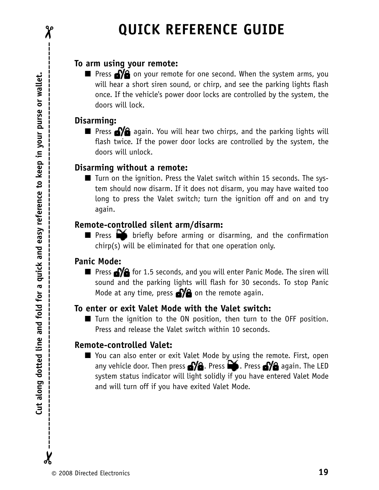#### **To arm using your remote:**

 $\blacksquare$  Press  $\blacksquare$  on your remote for one second. When the system arms, you will hear a short siren sound, or chirp, and see the parking lights flash once. If the vehicle's power door locks are controlled by the system, the doors will lock.

#### **Disarming:**

■ Press **ay** again. You will hear two chirps, and the parking lights will flash twice. If the power door locks are controlled by the system, the doors will unlock.

#### **Disarming without a remote:**

■ Turn on the ignition. Press the Valet switch within 15 seconds. The system should now disarm. If it does not disarm, you may have waited too long to press the Valet switch; turn the ignition off and on and try again.

#### **Remote-controlled silent arm/disarm:**

■ Press briefly before arming or disarming, and the confirmation chirp(s) will be eliminated for that one operation only.

#### **Panic Mode:**

■ Press **of a** for 1.5 seconds, and you will enter Panic Mode. The siren will sound and the parking lights will flash for 30 seconds. To stop Panic Mode at any time, press  $\mathbf{a}$  on the remote again.

#### **To enter or exit Valet Mode with the Valet switch:**

■ Turn the ignition to the ON position, then turn to the OFF position. Press and release the Valet switch within 10 seconds.

#### **Remote-controlled Valet:**

■ You can also enter or exit Valet Mode by using the remote. First, open any vehicle door. Then press  $\mathbf{P}$  **A**. Press  $\mathbf{P}$  again. The LED system status indicator will light solidly if you have entered Valet Mode and will turn off if you have exited Valet Mode.

 $\chi$ 

 $\chi$